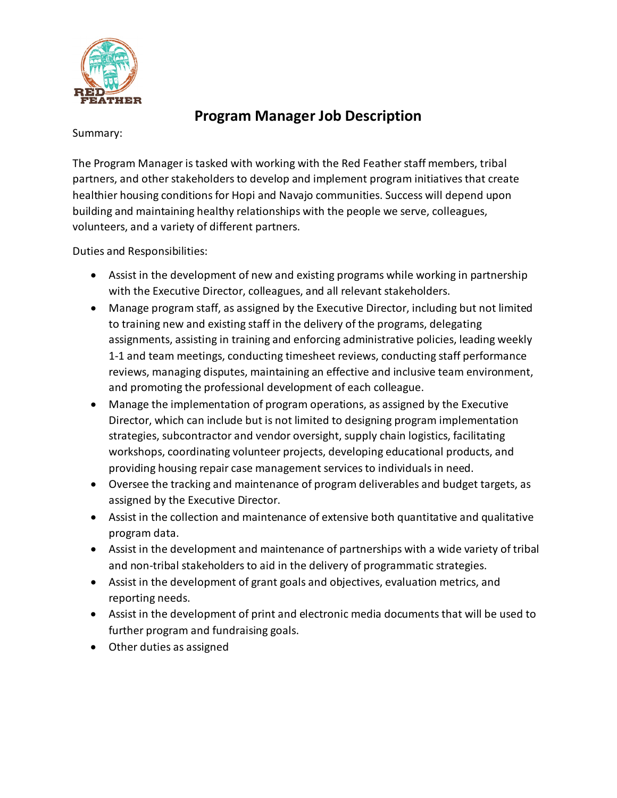

## **Program Manager Job Description**

Summary:

The Program Manager is tasked with working with the Red Feather staff members, tribal partners, and other stakeholders to develop and implement program initiatives that create healthier housing conditions for Hopi and Navajo communities. Success will depend upon building and maintaining healthy relationships with the people we serve, colleagues, volunteers, and a variety of different partners.

Duties and Responsibilities:

- Assist in the development of new and existing programs while working in partnership with the Executive Director, colleagues, and all relevant stakeholders.
- Manage program staff, as assigned by the Executive Director, including but not limited to training new and existing staff in the delivery of the programs, delegating assignments, assisting in training and enforcing administrative policies, leading weekly 1-1 and team meetings, conducting timesheet reviews, conducting staff performance reviews, managing disputes, maintaining an effective and inclusive team environment, and promoting the professional development of each colleague.
- Manage the implementation of program operations, as assigned by the Executive Director, which can include but is not limited to designing program implementation strategies, subcontractor and vendor oversight, supply chain logistics, facilitating workshops, coordinating volunteer projects, developing educational products, and providing housing repair case management services to individuals in need.
- Oversee the tracking and maintenance of program deliverables and budget targets, as assigned by the Executive Director.
- Assist in the collection and maintenance of extensive both quantitative and qualitative program data.
- Assist in the development and maintenance of partnerships with a wide variety of tribal and non-tribal stakeholders to aid in the delivery of programmatic strategies.
- Assist in the development of grant goals and objectives, evaluation metrics, and reporting needs.
- Assist in the development of print and electronic media documents that will be used to further program and fundraising goals.
- Other duties as assigned